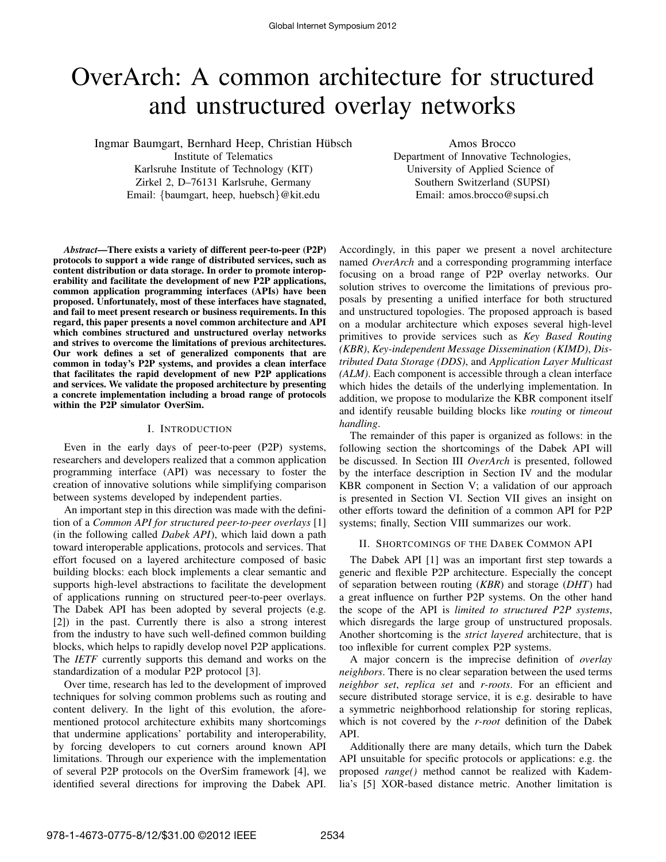# OverArch: A common architecture for structured and unstructured overlay networks

Ingmar Baumgart, Bernhard Heep, Christian Hubsch ¨ Institute of Telematics Karlsruhe Institute of Technology (KIT) Zirkel 2, D–76131 Karlsruhe, Germany Email: {baumgart, heep, huebsch}@kit.edu

Amos Brocco Department of Innovative Technologies, University of Applied Science of Southern Switzerland (SUPSI) Email: amos.brocco@supsi.ch

*Abstract*—There exists a variety of different peer-to-peer (P2P) protocols to support a wide range of distributed services, such as content distribution or data storage. In order to promote interoperability and facilitate the development of new P2P applications, common application programming interfaces (APIs) have been proposed. Unfortunately, most of these interfaces have stagnated, and fail to meet present research or business requirements. In this regard, this paper presents a novel common architecture and API which combines structured and unstructured overlay networks and strives to overcome the limitations of previous architectures. Our work defines a set of generalized components that are common in today's P2P systems, and provides a clean interface that facilitates the rapid development of new P2P applications and services. We validate the proposed architecture by presenting a concrete implementation including a broad range of protocols within the P2P simulator OverSim.

## I. INTRODUCTION

Even in the early days of peer-to-peer (P2P) systems, researchers and developers realized that a common application programming interface (API) was necessary to foster the creation of innovative solutions while simplifying comparison between systems developed by independent parties.

An important step in this direction was made with the definition of a *Common API for structured peer-to-peer overlays* [1] (in the following called *Dabek API*), which laid down a path toward interoperable applications, protocols and services. That effort focused on a layered architecture composed of basic building blocks: each block implements a clear semantic and supports high-level abstractions to facilitate the development of applications running on structured peer-to-peer overlays. The Dabek API has been adopted by several projects (e.g. [2]) in the past. Currently there is also a strong interest from the industry to have such well-defined common building blocks, which helps to rapidly develop novel P2P applications. The *IETF* currently supports this demand and works on the standardization of a modular P2P protocol [3].

Over time, research has led to the development of improved techniques for solving common problems such as routing and content delivery. In the light of this evolution, the aforementioned protocol architecture exhibits many shortcomings that undermine applications' portability and interoperability, by forcing developers to cut corners around known API limitations. Through our experience with the implementation of several P2P protocols on the OverSim framework [4], we identified several directions for improving the Dabek API.

Accordingly, in this paper we present a novel architecture named *OverArch* and a corresponding programming interface focusing on a broad range of P2P overlay networks. Our solution strives to overcome the limitations of previous proposals by presenting a unified interface for both structured and unstructured topologies. The proposed approach is based on a modular architecture which exposes several high-level primitives to provide services such as *Key Based Routing (KBR)*, *Key-independent Message Dissemination (KIMD)*, *Distributed Data Storage (DDS)*, and *Application Layer Multicast (ALM)*. Each component is accessible through a clean interface which hides the details of the underlying implementation. In addition, we propose to modularize the KBR component itself and identify reusable building blocks like *routing* or *timeout handling*.

The remainder of this paper is organized as follows: in the following section the shortcomings of the Dabek API will be discussed. In Section III *OverArch* is presented, followed by the interface description in Section IV and the modular KBR component in Section V; a validation of our approach is presented in Section VI. Section VII gives an insight on other efforts toward the definition of a common API for P2P systems; finally, Section VIII summarizes our work.

## II. SHORTCOMINGS OF THE DABEK COMMON API

The Dabek API [1] was an important first step towards a generic and flexible P2P architecture. Especially the concept of separation between routing (*KBR*) and storage (*DHT*) had a great influence on further P2P systems. On the other hand the scope of the API is *limited to structured P2P systems*, which disregards the large group of unstructured proposals. Another shortcoming is the *strict layered* architecture, that is too inflexible for current complex P2P systems.

A major concern is the imprecise definition of *overlay neighbors*. There is no clear separation between the used terms *neighbor set*, *replica set* and *r-roots*. For an efficient and secure distributed storage service, it is e.g. desirable to have a symmetric neighborhood relationship for storing replicas, which is not covered by the *r-root* definition of the Dabek API.

Additionally there are many details, which turn the Dabek API unsuitable for specific protocols or applications: e.g. the proposed *range()* method cannot be realized with Kademlia's [5] XOR-based distance metric. Another limitation is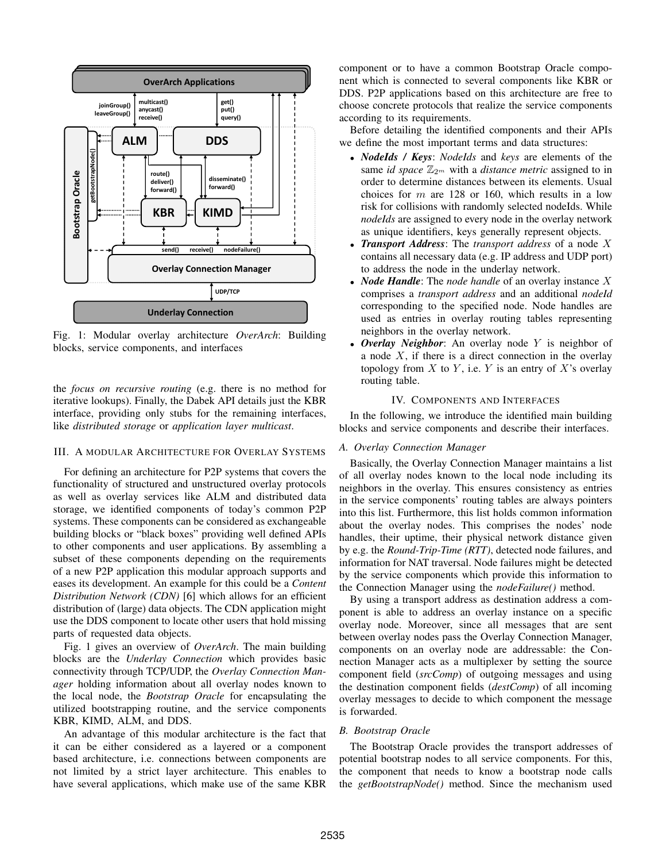

Fig. 1: Modular overlay architecture *OverArch*: Building blocks, service components, and interfaces

the *focus on recursive routing* (e.g. there is no method for iterative lookups). Finally, the Dabek API details just the KBR interface, providing only stubs for the remaining interfaces, like *distributed storage* or *application layer multicast*.

### III. A MODULAR ARCHITECTURE FOR OVERLAY SYSTEMS

For defining an architecture for P2P systems that covers the functionality of structured and unstructured overlay protocols as well as overlay services like ALM and distributed data storage, we identified components of today's common P2P systems. These components can be considered as exchangeable building blocks or "black boxes" providing well defined APIs to other components and user applications. By assembling a subset of these components depending on the requirements of a new P2P application this modular approach supports and eases its development. An example for this could be a *Content Distribution Network (CDN)* [6] which allows for an efficient distribution of (large) data objects. The CDN application might use the DDS component to locate other users that hold missing parts of requested data objects.

Fig. 1 gives an overview of *OverArch*. The main building blocks are the *Underlay Connection* which provides basic connectivity through TCP/UDP, the *Overlay Connection Manager* holding information about all overlay nodes known to the local node, the *Bootstrap Oracle* for encapsulating the utilized bootstrapping routine, and the service components KBR, KIMD, ALM, and DDS.

An advantage of this modular architecture is the fact that it can be either considered as a layered or a component based architecture, i.e. connections between components are not limited by a strict layer architecture. This enables to have several applications, which make use of the same KBR

component or to have a common Bootstrap Oracle component which is connected to several components like KBR or DDS. P2P applications based on this architecture are free to choose concrete protocols that realize the service components according to its requirements.

Before detailing the identified components and their APIs we define the most important terms and data structures:

- *NodeIds / Keys*: *NodeIds* and *keys* are elements of the same *id space*  $\mathbb{Z}_{2^m}$  with a *distance metric* assigned to in order to determine distances between its elements. Usual choices for  $m$  are 128 or 160, which results in a low risk for collisions with randomly selected nodeIds. While *nodeIds* are assigned to every node in the overlay network as unique identifiers, keys generally represent objects.
- *Transport Address*: The *transport address* of a node X contains all necessary data (e.g. IP address and UDP port) to address the node in the underlay network.
- *Node Handle*: The *node handle* of an overlay instance X comprises a *transport address* and an additional *nodeId* corresponding to the specified node. Node handles are used as entries in overlay routing tables representing neighbors in the overlay network.
- *Overlay Neighbor:* An overlay node Y is neighbor of a node  $X$ , if there is a direct connection in the overlay topology from  $X$  to  $Y$ , i.e.  $Y$  is an entry of  $X$ 's overlay routing table.

# IV. COMPONENTS AND INTERFACES

In the following, we introduce the identified main building blocks and service components and describe their interfaces.

#### *A. Overlay Connection Manager*

Basically, the Overlay Connection Manager maintains a list of all overlay nodes known to the local node including its neighbors in the overlay. This ensures consistency as entries in the service components' routing tables are always pointers into this list. Furthermore, this list holds common information about the overlay nodes. This comprises the nodes' node handles, their uptime, their physical network distance given by e.g. the *Round-Trip-Time (RTT)*, detected node failures, and information for NAT traversal. Node failures might be detected by the service components which provide this information to the Connection Manager using the *nodeFailure()* method.

By using a transport address as destination address a component is able to address an overlay instance on a specific overlay node. Moreover, since all messages that are sent between overlay nodes pass the Overlay Connection Manager, components on an overlay node are addressable: the Connection Manager acts as a multiplexer by setting the source component field (*srcComp*) of outgoing messages and using the destination component fields (*destComp*) of all incoming overlay messages to decide to which component the message is forwarded.

#### *B. Bootstrap Oracle*

The Bootstrap Oracle provides the transport addresses of potential bootstrap nodes to all service components. For this, the component that needs to know a bootstrap node calls the *getBootstrapNode()* method. Since the mechanism used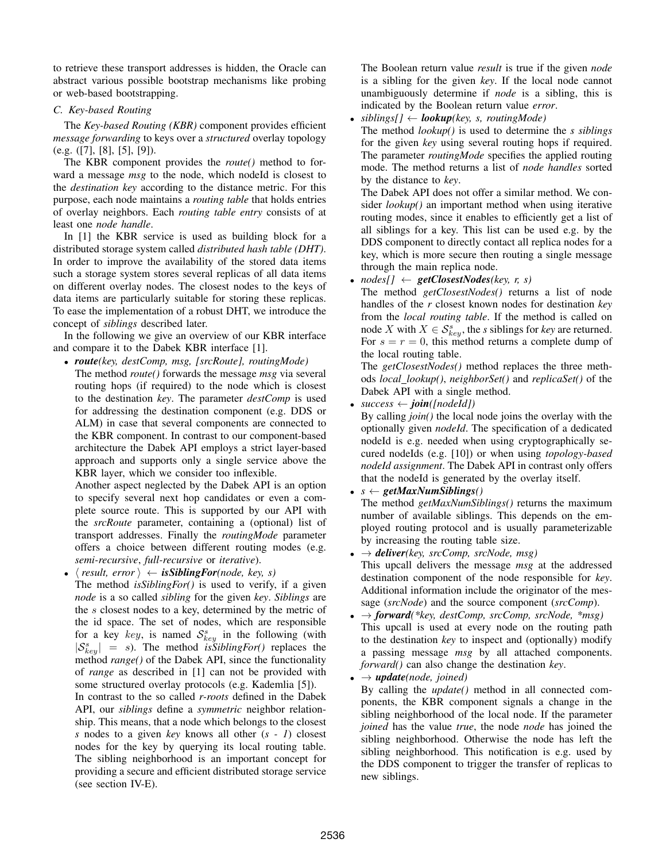to retrieve these transport addresses is hidden, the Oracle can abstract various possible bootstrap mechanisms like probing or web-based bootstrapping.

# *C. Key-based Routing*

The *Key-based Routing (KBR)* component provides efficient *message forwarding* to keys over a *structured* overlay topology (e.g. ([7], [8], [5], [9]).

The KBR component provides the *route()* method to forward a message *msg* to the node, which nodeId is closest to the *destination key* according to the distance metric. For this purpose, each node maintains a *routing table* that holds entries of overlay neighbors. Each *routing table entry* consists of at least one *node handle*.

In [1] the KBR service is used as building block for a distributed storage system called *distributed hash table (DHT)*. In order to improve the availability of the stored data items such a storage system stores several replicas of all data items on different overlay nodes. The closest nodes to the keys of data items are particularly suitable for storing these replicas. To ease the implementation of a robust DHT, we introduce the concept of *siblings* described later.

In the following we give an overview of our KBR interface and compare it to the Dabek KBR interface [1].

- *route(key, destComp, msg, [srcRoute], routingMode)*
	- The method *route()* forwards the message *msg* via several routing hops (if required) to the node which is closest to the destination *key*. The parameter *destComp* is used for addressing the destination component (e.g. DDS or ALM) in case that several components are connected to the KBR component. In contrast to our component-based architecture the Dabek API employs a strict layer-based approach and supports only a single service above the KBR layer, which we consider too inflexible.

Another aspect neglected by the Dabek API is an option to specify several next hop candidates or even a complete source route. This is supported by our API with the *srcRoute* parameter, containing a (optional) list of transport addresses. Finally the *routingMode* parameter offers a choice between different routing modes (e.g. *semi-recursive*, *full-recursive* or *iterative*).

•  $\langle$  *result, error*  $\rangle \leftarrow$  *isSiblingFor*(*node, key, s*)

The method *isSiblingFor()* is used to verify, if a given *node* is a so called *sibling* for the given *key*. *Siblings* are the s closest nodes to a key, determined by the metric of the id space. The set of nodes, which are responsible for a key key, is named  $S_{key}^s$  in the following (with  $|{\mathcal S}^s_{key}| = s$ ). The method *isSiblingFor()* replaces the method *range()* of the Dabek API, since the functionality of *range* as described in [1] can not be provided with some structured overlay protocols (e.g. Kademlia [5]). In contrast to the so called *r-roots* defined in the Dabek API, our *siblings* define a *symmetric* neighbor relationship. This means, that a node which belongs to the closest *s* nodes to a given *key* knows all other (*s - 1*) closest nodes for the key by querying its local routing table. The sibling neighborhood is an important concept for providing a secure and efficient distributed storage service (see section IV-E).

The Boolean return value *result* is true if the given *node* is a sibling for the given *key*. If the local node cannot unambiguously determine if *node* is a sibling, this is indicated by the Boolean return value *error*.

•  $sibling[] \leftarrow lookup(key, s, routingMode)$ 

The method *lookup()* is used to determine the *s siblings* for the given *key* using several routing hops if required. The parameter *routingMode* specifies the applied routing mode. The method returns a list of *node handles* sorted by the distance to *key*.

The Dabek API does not offer a similar method. We consider *lookup()* an important method when using iterative routing modes, since it enables to efficiently get a list of all siblings for a key. This list can be used e.g. by the DDS component to directly contact all replica nodes for a key, which is more secure then routing a single message through the main replica node.

•  $nodes[] \leftarrow getClosedNodes(key, r, s)$ 

The method *getClosestNodes()* returns a list of node handles of the *r* closest known nodes for destination *key* from the *local routing table*. If the method is called on node X with  $X \in \mathcal{S}_{key}^s$ , the *s* siblings for *key* are returned. For  $s = r = 0$ , this method returns a complete dump of the local routing table.

The *getClosestNodes()* method replaces the three methods *local lookup()*, *neighborSet()* and *replicaSet()* of the Dabek API with a single method.

•  $success \leftarrow join([nodeId])$ 

By calling *join()* the local node joins the overlay with the optionally given *nodeId*. The specification of a dedicated nodeId is e.g. needed when using cryptographically secured nodeIds (e.g. [10]) or when using *topology-based nodeId assignment*. The Dabek API in contrast only offers that the nodeId is generated by the overlay itself.

 $\bullet$  *s*  $\leftarrow$  *getMaxNumSiblings()* 

The method *getMaxNumSiblings()* returns the maximum number of available siblings. This depends on the employed routing protocol and is usually parameterizable by increasing the routing table size.

 $\bullet \rightarrow$  *deliver*(key, srcComp, srcNode, msg)

This upcall delivers the message *msg* at the addressed destination component of the node responsible for *key*. Additional information include the originator of the message (*srcNode*) and the source component (*srcComp*).

• → *forward(\*key, destComp, srcComp, srcNode, \*msg)* This upcall is used at every node on the routing path to the destination *key* to inspect and (optionally) modify a passing message *msg* by all attached components. *forward()* can also change the destination *key*.

 $\rightarrow$  *update*(node, joined)

By calling the *update()* method in all connected components, the KBR component signals a change in the sibling neighborhood of the local node. If the parameter *joined* has the value *true*, the node *node* has joined the sibling neighborhood. Otherwise the node has left the sibling neighborhood. This notification is e.g. used by the DDS component to trigger the transfer of replicas to new siblings.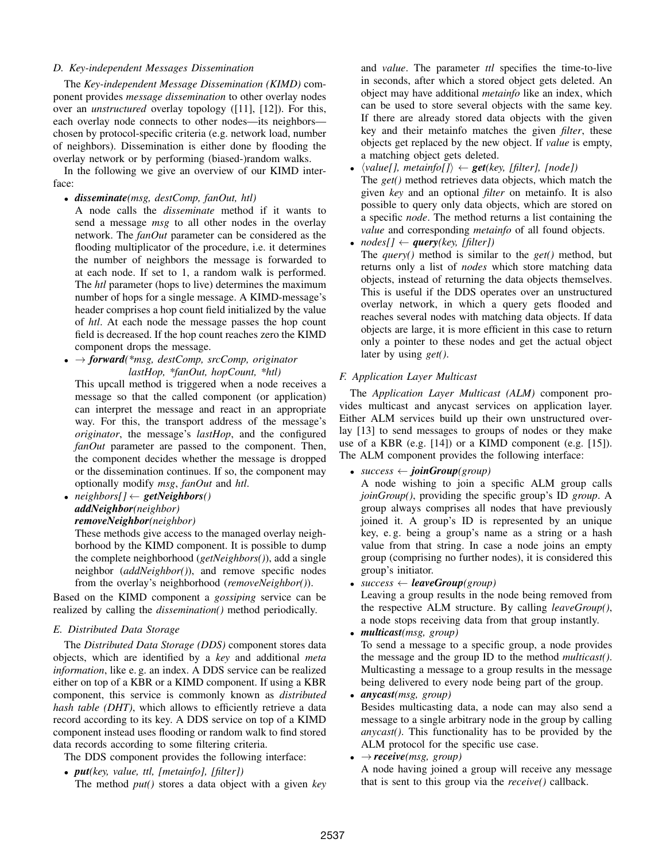# *D. Key-independent Messages Dissemination*

The *Key-independent Message Dissemination (KIMD)* component provides *message dissemination* to other overlay nodes over an *unstructured* overlay topology ([11], [12]). For this, each overlay node connects to other nodes—its neighbors chosen by protocol-specific criteria (e.g. network load, number of neighbors). Dissemination is either done by flooding the overlay network or by performing (biased-)random walks.

In the following we give an overview of our KIMD interface:

• *disseminate(msg, destComp, fanOut, htl)*

A node calls the *disseminate* method if it wants to send a message *msg* to all other nodes in the overlay network. The *fanOut* parameter can be considered as the flooding multiplicator of the procedure, i.e. it determines the number of neighbors the message is forwarded to at each node. If set to 1, a random walk is performed. The *htl* parameter (hops to live) determines the maximum number of hops for a single message. A KIMD-message's header comprises a hop count field initialized by the value of *htl*. At each node the message passes the hop count field is decreased. If the hop count reaches zero the KIMD component drops the message.

• → *forward(\*msg, destComp, srcComp, originator lastHop, \*fanOut, hopCount, \*htl)*

This upcall method is triggered when a node receives a message so that the called component (or application) can interpret the message and react in an appropriate way. For this, the transport address of the message's *originator*, the message's *lastHop*, and the configured *fanOut* parameter are passed to the component. Then, the component decides whether the message is dropped or the dissemination continues. If so, the component may optionally modify *msg*, *fanOut* and *htl*.

• *neighbors[]* ← *getNeighbors() addNeighbor(neighbor)*

# *removeNeighbor(neighbor)*

These methods give access to the managed overlay neighborhood by the KIMD component. It is possible to dump the complete neighborhood (*getNeighbors()*), add a single neighbor (*addNeighbor()*), and remove specific nodes from the overlay's neighborhood (*removeNeighbor()*).

Based on the KIMD component a *gossiping* service can be realized by calling the *dissemination()* method periodically.

# *E. Distributed Data Storage*

The *Distributed Data Storage (DDS)* component stores data objects, which are identified by a *key* and additional *meta information*, like e. g. an index. A DDS service can be realized either on top of a KBR or a KIMD component. If using a KBR component, this service is commonly known as *distributed hash table (DHT)*, which allows to efficiently retrieve a data record according to its key. A DDS service on top of a KIMD component instead uses flooding or random walk to find stored data records according to some filtering criteria.

The DDS component provides the following interface:

• *put(key, value, ttl, [metainfo], [filter])*

The method *put()* stores a data object with a given *key*

and *value*. The parameter *ttl* specifies the time-to-live in seconds, after which a stored object gets deleted. An object may have additional *metainfo* like an index, which can be used to store several objects with the same key. If there are already stored data objects with the given key and their metainfo matches the given *filter*, these objects get replaced by the new object. If *value* is empty, a matching object gets deleted.

- $\langle value[j, metainfo[j] \rangle \leftarrow get(key, [filter], [node])$ The *get()* method retrieves data objects, which match the given *key* and an optional *filter* on metainfo. It is also possible to query only data objects, which are stored on a specific *node*. The method returns a list containing the *value* and corresponding *metainfo* of all found objects. •  $nodes[] \leftarrow query(key, [filter])$ 
	- The *query()* method is similar to the *get()* method, but returns only a list of *nodes* which store matching data objects, instead of returning the data objects themselves. This is useful if the DDS operates over an unstructured overlay network, in which a query gets flooded and reaches several nodes with matching data objects. If data objects are large, it is more efficient in this case to return only a pointer to these nodes and get the actual object later by using *get()*.

# *F. Application Layer Multicast*

The *Application Layer Multicast (ALM)* component provides multicast and anycast services on application layer. Either ALM services build up their own unstructured overlay [13] to send messages to groups of nodes or they make use of a KBR (e.g. [14]) or a KIMD component (e.g. [15]). The ALM component provides the following interface:

A node wishing to join a specific ALM group calls *joinGroup()*, providing the specific group's ID *group*. A group always comprises all nodes that have previously joined it. A group's ID is represented by an unique key, e. g. being a group's name as a string or a hash value from that string. In case a node joins an empty group (comprising no further nodes), it is considered this group's initiator.

 $success \leftarrow \textit{leaveGroup}(group)$ 

Leaving a group results in the node being removed from the respective ALM structure. By calling *leaveGroup()*, a node stops receiving data from that group instantly.

• *multicast(msg, group)*

To send a message to a specific group, a node provides the message and the group ID to the method *multicast()*. Multicasting a message to a group results in the message being delivered to every node being part of the group.

• *anycast(msg, group)*

Besides multicasting data, a node can may also send a message to a single arbitrary node in the group by calling *anycast()*. This functionality has to be provided by the ALM protocol for the specific use case.

 $\rightarrow$  *receive*(msg, group)

A node having joined a group will receive any message that is sent to this group via the *receive()* callback.

<sup>•</sup>  $success \leftarrow joinGroup(group)$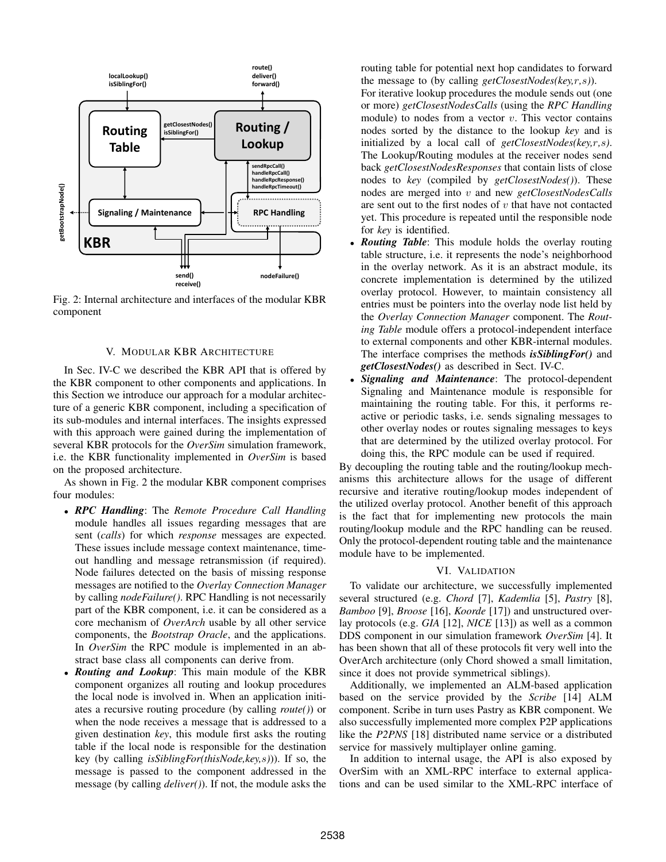

Fig. 2: Internal architecture and interfaces of the modular KBR component

# V. MODULAR KBR ARCHITECTURE

In Sec. IV-C we described the KBR API that is offered by the KBR component to other components and applications. In this Section we introduce our approach for a modular architecture of a generic KBR component, including a specification of its sub-modules and internal interfaces. The insights expressed with this approach were gained during the implementation of several KBR protocols for the *OverSim* simulation framework, i.e. the KBR functionality implemented in *OverSim* is based on the proposed architecture.

As shown in Fig. 2 the modular KBR component comprises four modules:

- *RPC Handling*: The *Remote Procedure Call Handling* module handles all issues regarding messages that are sent (*calls*) for which *response* messages are expected. These issues include message context maintenance, timeout handling and message retransmission (if required). Node failures detected on the basis of missing response messages are notified to the *Overlay Connection Manager* by calling *nodeFailure()*. RPC Handling is not necessarily part of the KBR component, i.e. it can be considered as a core mechanism of *OverArch* usable by all other service components, the *Bootstrap Oracle*, and the applications. In *OverSim* the RPC module is implemented in an abstract base class all components can derive from.
- *Routing and Lookup*: This main module of the KBR component organizes all routing and lookup procedures the local node is involved in. When an application initiates a recursive routing procedure (by calling *route()*) or when the node receives a message that is addressed to a given destination *key*, this module first asks the routing table if the local node is responsible for the destination key (by calling *isSiblingFor(thisNode,key,*s*)*)). If so, the message is passed to the component addressed in the message (by calling *deliver()*). If not, the module asks the

routing table for potential next hop candidates to forward the message to (by calling *getClosestNodes(key,*r*,*s*)*).

For iterative lookup procedures the module sends out (one or more) *getClosestNodesCalls* (using the *RPC Handling* module) to nodes from a vector  $v$ . This vector contains nodes sorted by the distance to the lookup *key* and is initialized by a local call of *getClosestNodes(key,*r*,*s*)*. The Lookup/Routing modules at the receiver nodes send back *getClosestNodesResponses* that contain lists of close nodes to *key* (compiled by *getClosestNodes()*). These nodes are merged into v and new *getClosestNodesCalls* are sent out to the first nodes of  $v$  that have not contacted yet. This procedure is repeated until the responsible node for *key* is identified.

- *Routing Table*: This module holds the overlay routing table structure, i.e. it represents the node's neighborhood in the overlay network. As it is an abstract module, its concrete implementation is determined by the utilized overlay protocol. However, to maintain consistency all entries must be pointers into the overlay node list held by the *Overlay Connection Manager* component. The *Routing Table* module offers a protocol-independent interface to external components and other KBR-internal modules. The interface comprises the methods *isSiblingFor()* and *getClosestNodes()* as described in Sect. IV-C.
- *Signaling and Maintenance*: The protocol-dependent Signaling and Maintenance module is responsible for maintaining the routing table. For this, it performs reactive or periodic tasks, i.e. sends signaling messages to other overlay nodes or routes signaling messages to keys that are determined by the utilized overlay protocol. For doing this, the RPC module can be used if required.

By decoupling the routing table and the routing/lookup mechanisms this architecture allows for the usage of different recursive and iterative routing/lookup modes independent of the utilized overlay protocol. Another benefit of this approach is the fact that for implementing new protocols the main routing/lookup module and the RPC handling can be reused. Only the protocol-dependent routing table and the maintenance module have to be implemented.

#### VI. VALIDATION

To validate our architecture, we successfully implemented several structured (e.g. *Chord* [7], *Kademlia* [5], *Pastry* [8], *Bamboo* [9], *Broose* [16], *Koorde* [17]) and unstructured overlay protocols (e.g. *GIA* [12], *NICE* [13]) as well as a common DDS component in our simulation framework *OverSim* [4]. It has been shown that all of these protocols fit very well into the OverArch architecture (only Chord showed a small limitation, since it does not provide symmetrical siblings).

Additionally, we implemented an ALM-based application based on the service provided by the *Scribe* [14] ALM component. Scribe in turn uses Pastry as KBR component. We also successfully implemented more complex P2P applications like the *P2PNS* [18] distributed name service or a distributed service for massively multiplayer online gaming.

In addition to internal usage, the API is also exposed by OverSim with an XML-RPC interface to external applications and can be used similar to the XML-RPC interface of